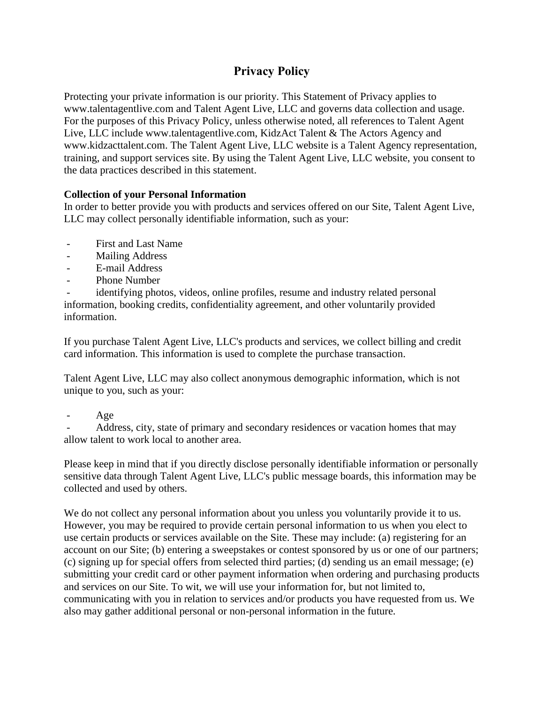# **Privacy Policy**

Protecting your private information is our priority. This Statement of Privacy applies to www.talentagentlive.com and Talent Agent Live, LLC and governs data collection and usage. For the purposes of this Privacy Policy, unless otherwise noted, all references to Talent Agent Live, LLC include www.talentagentlive.com, KidzAct Talent & The Actors Agency and www.kidzacttalent.com. The Talent Agent Live, LLC website is a Talent Agency representation, training, and support services site. By using the Talent Agent Live, LLC website, you consent to the data practices described in this statement.

# **Collection of your Personal Information**

In order to better provide you with products and services offered on our Site, Talent Agent Live, LLC may collect personally identifiable information, such as your:

- First and Last Name
- Mailing Address
- E-mail Address
- Phone Number

identifying photos, videos, online profiles, resume and industry related personal information, booking credits, confidentiality agreement, and other voluntarily provided information.

If you purchase Talent Agent Live, LLC's products and services, we collect billing and credit card information. This information is used to complete the purchase transaction.

Talent Agent Live, LLC may also collect anonymous demographic information, which is not unique to you, such as your:

Address, city, state of primary and secondary residences or vacation homes that may allow talent to work local to another area.

Please keep in mind that if you directly disclose personally identifiable information or personally sensitive data through Talent Agent Live, LLC's public message boards, this information may be collected and used by others.

We do not collect any personal information about you unless you voluntarily provide it to us. However, you may be required to provide certain personal information to us when you elect to use certain products or services available on the Site. These may include: (a) registering for an account on our Site; (b) entering a sweepstakes or contest sponsored by us or one of our partners; (c) signing up for special offers from selected third parties; (d) sending us an email message; (e) submitting your credit card or other payment information when ordering and purchasing products and services on our Site. To wit, we will use your information for, but not limited to, communicating with you in relation to services and/or products you have requested from us. We also may gather additional personal or non-personal information in the future.

Age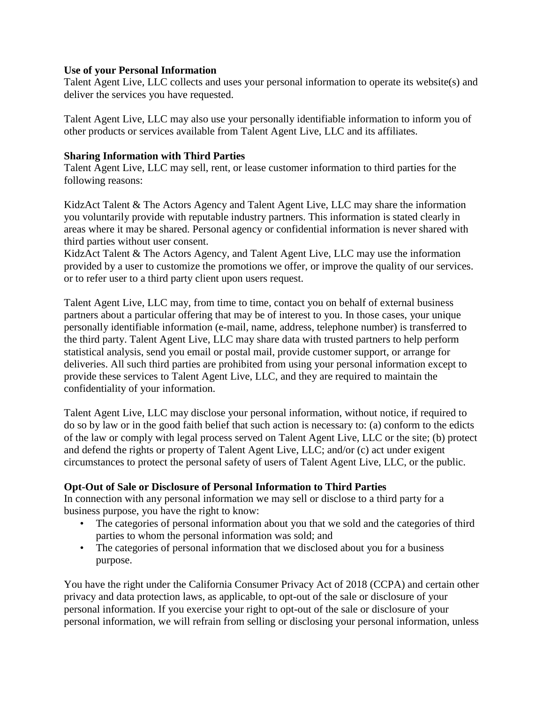#### **Use of your Personal Information**

Talent Agent Live, LLC collects and uses your personal information to operate its website(s) and deliver the services you have requested.

Talent Agent Live, LLC may also use your personally identifiable information to inform you of other products or services available from Talent Agent Live, LLC and its affiliates.

## **Sharing Information with Third Parties**

Talent Agent Live, LLC may sell, rent, or lease customer information to third parties for the following reasons:

KidzAct Talent & The Actors Agency and Talent Agent Live, LLC may share the information you voluntarily provide with reputable industry partners. This information is stated clearly in areas where it may be shared. Personal agency or confidential information is never shared with third parties without user consent.

KidzAct Talent & The Actors Agency, and Talent Agent Live, LLC may use the information provided by a user to customize the promotions we offer, or improve the quality of our services. or to refer user to a third party client upon users request.

Talent Agent Live, LLC may, from time to time, contact you on behalf of external business partners about a particular offering that may be of interest to you. In those cases, your unique personally identifiable information (e-mail, name, address, telephone number) is transferred to the third party. Talent Agent Live, LLC may share data with trusted partners to help perform statistical analysis, send you email or postal mail, provide customer support, or arrange for deliveries. All such third parties are prohibited from using your personal information except to provide these services to Talent Agent Live, LLC, and they are required to maintain the confidentiality of your information.

Talent Agent Live, LLC may disclose your personal information, without notice, if required to do so by law or in the good faith belief that such action is necessary to: (a) conform to the edicts of the law or comply with legal process served on Talent Agent Live, LLC or the site; (b) protect and defend the rights or property of Talent Agent Live, LLC; and/or (c) act under exigent circumstances to protect the personal safety of users of Talent Agent Live, LLC, or the public.

# **Opt-Out of Sale or Disclosure of Personal Information to Third Parties**

In connection with any personal information we may sell or disclose to a third party for a business purpose, you have the right to know:

- The categories of personal information about you that we sold and the categories of third parties to whom the personal information was sold; and
- The categories of personal information that we disclosed about you for a business purpose.

You have the right under the California Consumer Privacy Act of 2018 (CCPA) and certain other privacy and data protection laws, as applicable, to opt-out of the sale or disclosure of your personal information. If you exercise your right to opt-out of the sale or disclosure of your personal information, we will refrain from selling or disclosing your personal information, unless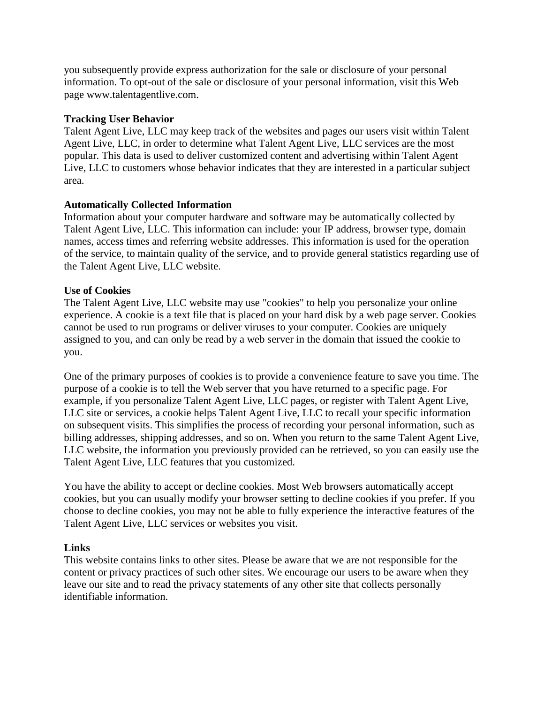you subsequently provide express authorization for the sale or disclosure of your personal information. To opt-out of the sale or disclosure of your personal information, visit this Web page www.talentagentlive.com.

## **Tracking User Behavior**

Talent Agent Live, LLC may keep track of the websites and pages our users visit within Talent Agent Live, LLC, in order to determine what Talent Agent Live, LLC services are the most popular. This data is used to deliver customized content and advertising within Talent Agent Live, LLC to customers whose behavior indicates that they are interested in a particular subject area.

## **Automatically Collected Information**

Information about your computer hardware and software may be automatically collected by Talent Agent Live, LLC. This information can include: your IP address, browser type, domain names, access times and referring website addresses. This information is used for the operation of the service, to maintain quality of the service, and to provide general statistics regarding use of the Talent Agent Live, LLC website.

## **Use of Cookies**

The Talent Agent Live, LLC website may use "cookies" to help you personalize your online experience. A cookie is a text file that is placed on your hard disk by a web page server. Cookies cannot be used to run programs or deliver viruses to your computer. Cookies are uniquely assigned to you, and can only be read by a web server in the domain that issued the cookie to you.

One of the primary purposes of cookies is to provide a convenience feature to save you time. The purpose of a cookie is to tell the Web server that you have returned to a specific page. For example, if you personalize Talent Agent Live, LLC pages, or register with Talent Agent Live, LLC site or services, a cookie helps Talent Agent Live, LLC to recall your specific information on subsequent visits. This simplifies the process of recording your personal information, such as billing addresses, shipping addresses, and so on. When you return to the same Talent Agent Live, LLC website, the information you previously provided can be retrieved, so you can easily use the Talent Agent Live, LLC features that you customized.

You have the ability to accept or decline cookies. Most Web browsers automatically accept cookies, but you can usually modify your browser setting to decline cookies if you prefer. If you choose to decline cookies, you may not be able to fully experience the interactive features of the Talent Agent Live, LLC services or websites you visit.

#### **Links**

This website contains links to other sites. Please be aware that we are not responsible for the content or privacy practices of such other sites. We encourage our users to be aware when they leave our site and to read the privacy statements of any other site that collects personally identifiable information.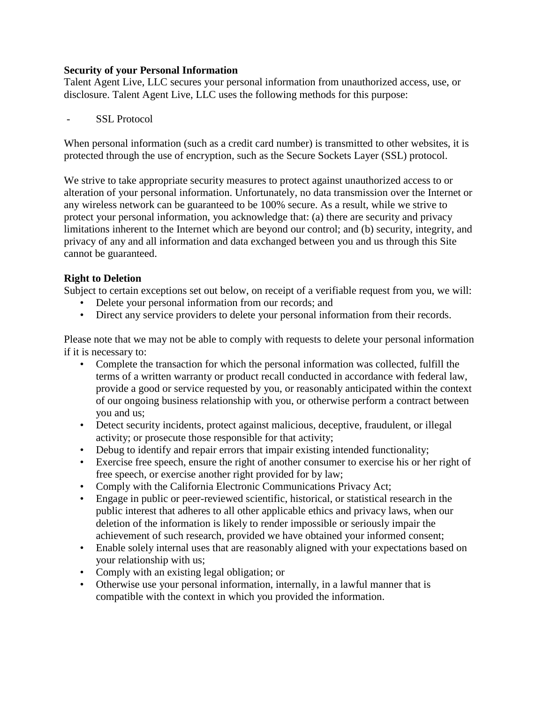## **Security of your Personal Information**

Talent Agent Live, LLC secures your personal information from unauthorized access, use, or disclosure. Talent Agent Live, LLC uses the following methods for this purpose:

- SSL Protocol

When personal information (such as a credit card number) is transmitted to other websites, it is protected through the use of encryption, such as the Secure Sockets Layer (SSL) protocol.

We strive to take appropriate security measures to protect against unauthorized access to or alteration of your personal information. Unfortunately, no data transmission over the Internet or any wireless network can be guaranteed to be 100% secure. As a result, while we strive to protect your personal information, you acknowledge that: (a) there are security and privacy limitations inherent to the Internet which are beyond our control; and (b) security, integrity, and privacy of any and all information and data exchanged between you and us through this Site cannot be guaranteed.

# **Right to Deletion**

Subject to certain exceptions set out below, on receipt of a verifiable request from you, we will:

- Delete your personal information from our records; and
- Direct any service providers to delete your personal information from their records.

Please note that we may not be able to comply with requests to delete your personal information if it is necessary to:

- Complete the transaction for which the personal information was collected, fulfill the terms of a written warranty or product recall conducted in accordance with federal law, provide a good or service requested by you, or reasonably anticipated within the context of our ongoing business relationship with you, or otherwise perform a contract between you and us;
- Detect security incidents, protect against malicious, deceptive, fraudulent, or illegal activity; or prosecute those responsible for that activity;
- Debug to identify and repair errors that impair existing intended functionality;
- Exercise free speech, ensure the right of another consumer to exercise his or her right of free speech, or exercise another right provided for by law;
- Comply with the California Electronic Communications Privacy Act;
- Engage in public or peer-reviewed scientific, historical, or statistical research in the public interest that adheres to all other applicable ethics and privacy laws, when our deletion of the information is likely to render impossible or seriously impair the achievement of such research, provided we have obtained your informed consent;
- Enable solely internal uses that are reasonably aligned with your expectations based on your relationship with us;
- Comply with an existing legal obligation; or
- Otherwise use your personal information, internally, in a lawful manner that is compatible with the context in which you provided the information.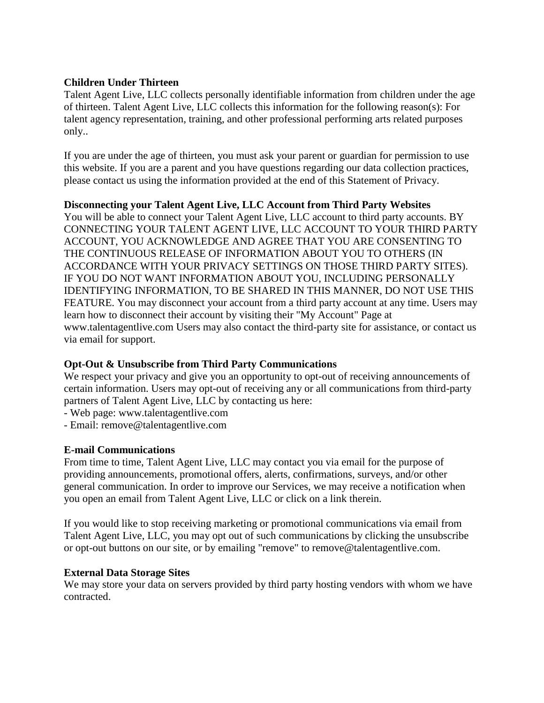## **Children Under Thirteen**

Talent Agent Live, LLC collects personally identifiable information from children under the age of thirteen. Talent Agent Live, LLC collects this information for the following reason(s): For talent agency representation, training, and other professional performing arts related purposes only..

If you are under the age of thirteen, you must ask your parent or guardian for permission to use this website. If you are a parent and you have questions regarding our data collection practices, please contact us using the information provided at the end of this Statement of Privacy.

#### **Disconnecting your Talent Agent Live, LLC Account from Third Party Websites**

You will be able to connect your Talent Agent Live, LLC account to third party accounts. BY CONNECTING YOUR TALENT AGENT LIVE, LLC ACCOUNT TO YOUR THIRD PARTY ACCOUNT, YOU ACKNOWLEDGE AND AGREE THAT YOU ARE CONSENTING TO THE CONTINUOUS RELEASE OF INFORMATION ABOUT YOU TO OTHERS (IN ACCORDANCE WITH YOUR PRIVACY SETTINGS ON THOSE THIRD PARTY SITES). IF YOU DO NOT WANT INFORMATION ABOUT YOU, INCLUDING PERSONALLY IDENTIFYING INFORMATION, TO BE SHARED IN THIS MANNER, DO NOT USE THIS FEATURE. You may disconnect your account from a third party account at any time. Users may learn how to disconnect their account by visiting their "My Account" Page at www.talentagentlive.com Users may also contact the third-party site for assistance, or contact us via email for support.

# **Opt-Out & Unsubscribe from Third Party Communications**

We respect your privacy and give you an opportunity to opt-out of receiving announcements of certain information. Users may opt-out of receiving any or all communications from third-party partners of Talent Agent Live, LLC by contacting us here:

- Web page: www.talentagentlive.com
- Email: remove@talentagentlive.com

#### **E-mail Communications**

From time to time, Talent Agent Live, LLC may contact you via email for the purpose of providing announcements, promotional offers, alerts, confirmations, surveys, and/or other general communication. In order to improve our Services, we may receive a notification when you open an email from Talent Agent Live, LLC or click on a link therein.

If you would like to stop receiving marketing or promotional communications via email from Talent Agent Live, LLC, you may opt out of such communications by clicking the unsubscribe or opt-out buttons on our site, or by emailing "remove" to remove@talentagentlive.com.

#### **External Data Storage Sites**

We may store your data on servers provided by third party hosting vendors with whom we have contracted.